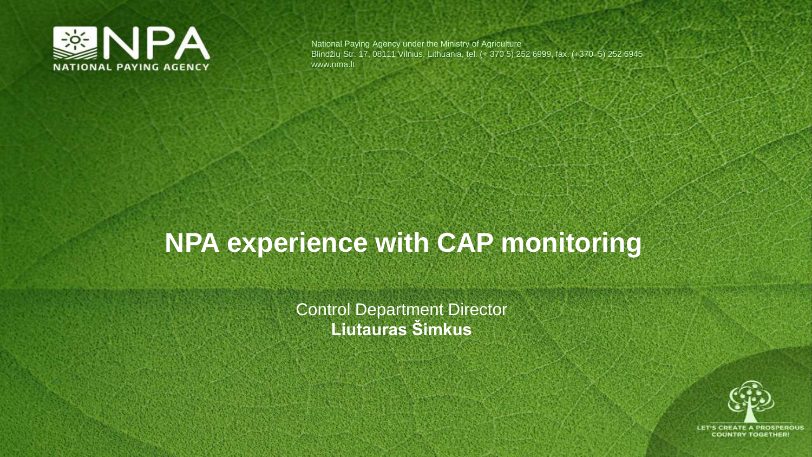

National Paying Agency under the Ministry of Agriculture Blindžių Str. 17, 08111 Vilnius, Lithuania, tel. (+ 370 5) 252 6999, fax. (+370 5) 252 6945 www.nma.lt

#### **NPA experience with CAP monitoring**

Control Department Director **Liutauras Šimkus**

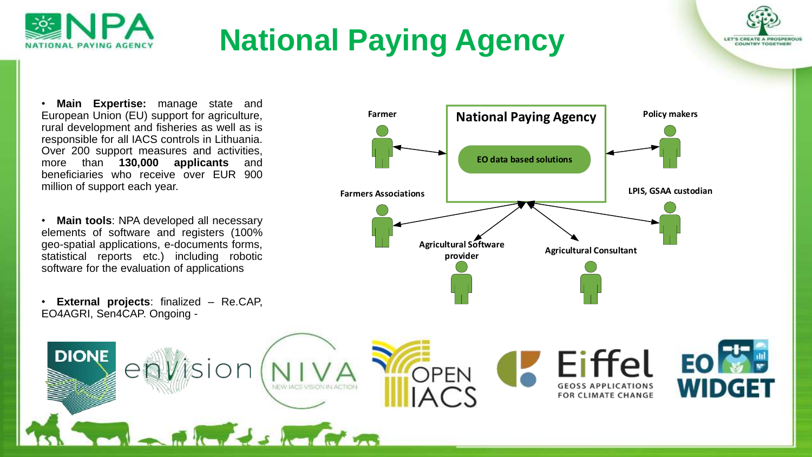

# **National Paying Agency**

• **Main Expertise:** manage state and European Union (EU) support for agriculture, rural development and fisheries as well as is responsible for all IACS controls in Lithuania. Over 200 support measures and activities, more than **130,000 applicants** and beneficiaries who receive over EUR 900 million of support each year.

• **Main tools**: NPA developed all necessary elements of software and registers (100% geo-spatial applications, e-documents forms, statistical reports etc.) including robotic software for the evaluation of applications

• **External projects**: finalized – Re.CAP, EO4AGRI, Sen4CAP. Ongoing -



LET'S CREATE A PROSPEROUR COUNTRY TOOFFUEL

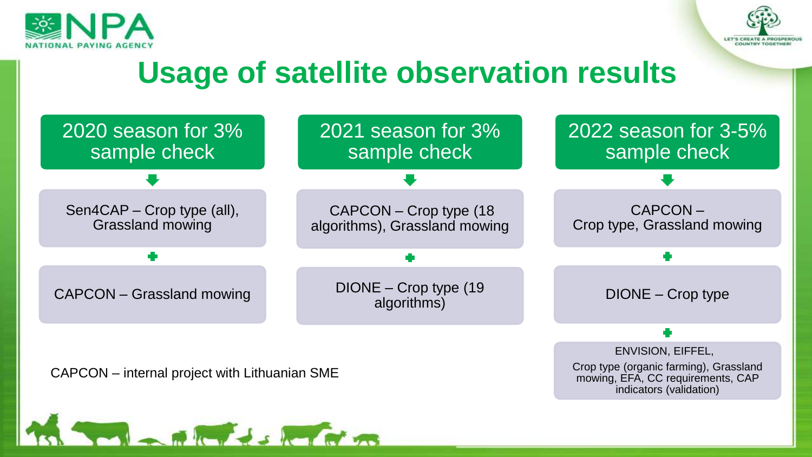



#### **Usage of satellite observation results**

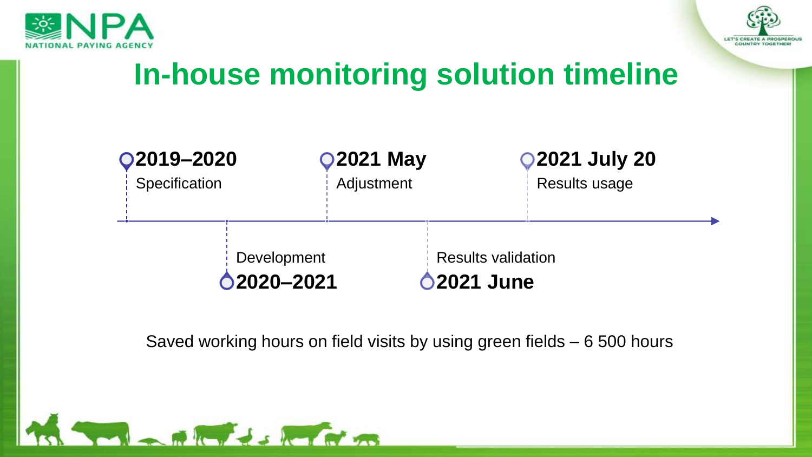



## **In-house monitoring solution timeline**



Saved working hours on field visits by using green fields – 6 500 hours

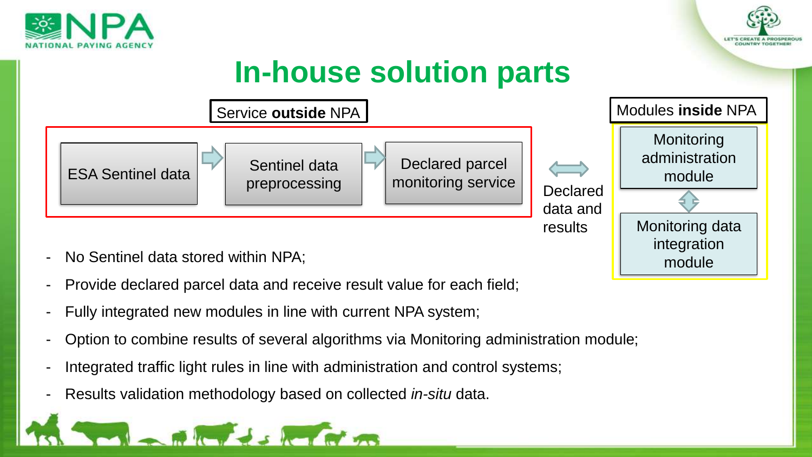



module

### **In-house solution parts**



- No Sentinel data stored within NPA;
- Provide declared parcel data and receive result value for each field;
- Fully integrated new modules in line with current NPA system;
- Option to combine results of several algorithms via Monitoring administration module;
- Integrated traffic light rules in line with administration and control systems;
- Results validation methodology based on collected *in-situ* data.

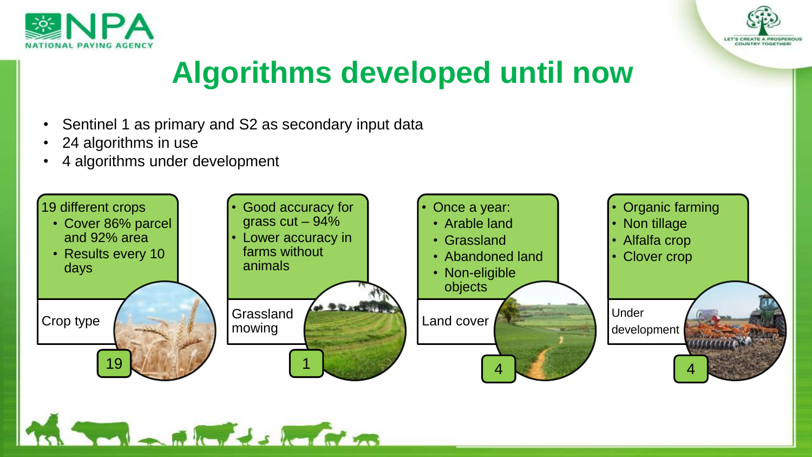



## **Algorithms developed until now**

Sentinel 1 as primary and S2 as secondary input data

**CITY SIGHT AT THE** 

- 24 algorithms in use
- 4 algorithms under development

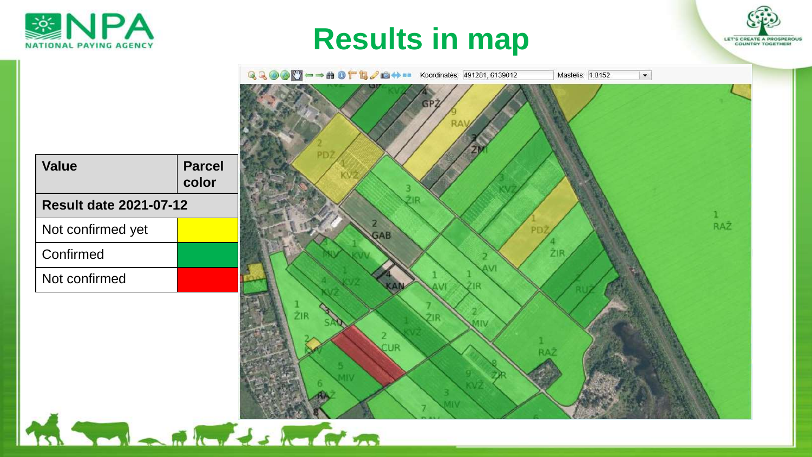







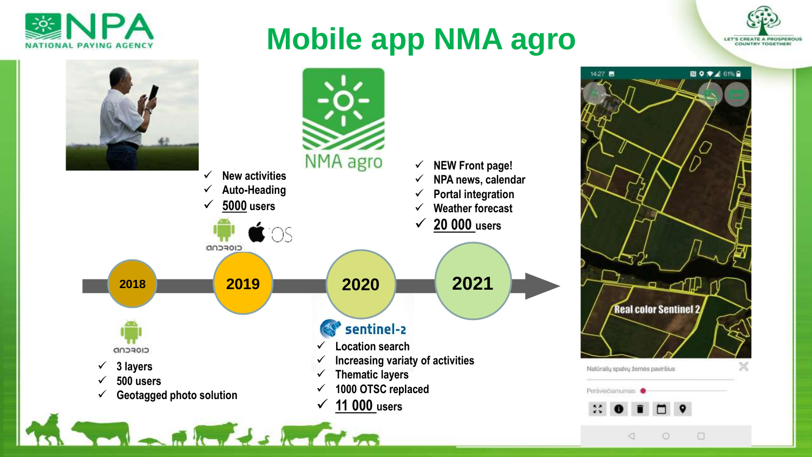

#### **Mobile app NMA agro**



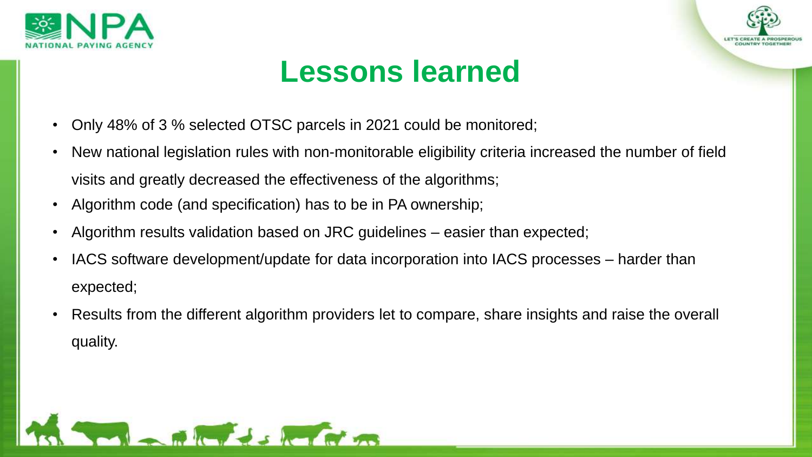



#### **Lessons learned**

- Only 48% of 3 % selected OTSC parcels in 2021 could be monitored;
- New national legislation rules with non-monitorable eligibility criteria increased the number of field visits and greatly decreased the effectiveness of the algorithms;
- Algorithm code (and specification) has to be in PA ownership;
- Algorithm results validation based on JRC guidelines easier than expected;
- IACS software development/update for data incorporation into IACS processes harder than expected;
- Results from the different algorithm providers let to compare, share insights and raise the overall quality.

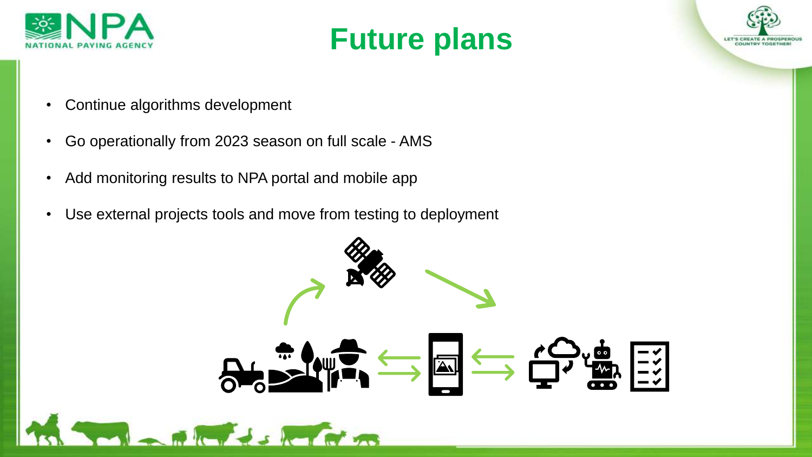





- Continue algorithms development
- Go operationally from 2023 season on full scale AMS
- Add monitoring results to NPA portal and mobile app
- Use external projects tools and move from testing to deployment